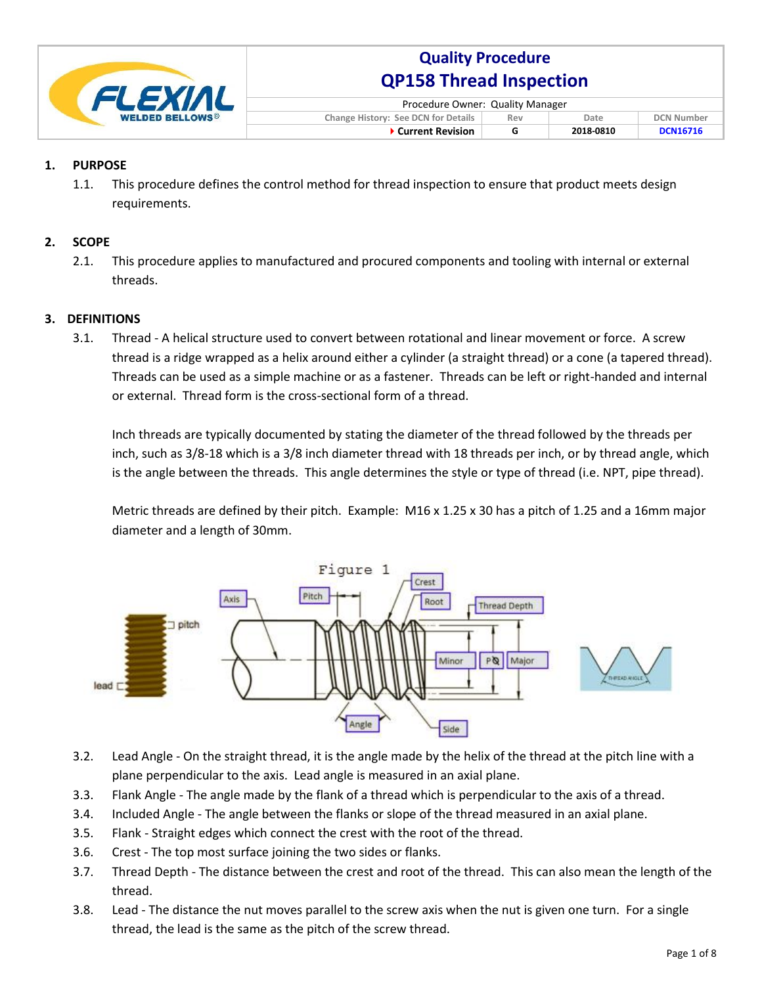

| Procedure Owner: Quality Manager                                               |  |           |                 |  |
|--------------------------------------------------------------------------------|--|-----------|-----------------|--|
| <b>Change History: See DCN for Details</b><br><b>DCN Number</b><br>Date<br>Rev |  |           |                 |  |
| ▶ Current Revision                                                             |  | 2018-0810 | <b>DCN16716</b> |  |

### **1. PURPOSE**

1.1. This procedure defines the control method for thread inspection to ensure that product meets design requirements.

#### **2. SCOPE**

2.1. This procedure applies to manufactured and procured components and tooling with internal or external threads.

#### **3. DEFINITIONS**

3.1. Thread - A helical structure used to convert between rotational and linear movement or force. A screw thread is a ridge wrapped as a helix around either a cylinder (a straight thread) or a cone (a tapered thread). Threads can be used as a simple machine or as a fastener. Threads can be left or right-handed and internal or external. Thread form is the cross-sectional form of a thread.

Inch threads are typically documented by stating the diameter of the thread followed by the threads per inch, such as 3/8-18 which is a 3/8 inch diameter thread with 18 threads per inch, or by thread angle, which is the angle between the threads. This angle determines the style or type of thread (i.e. NPT, pipe thread).

Metric threads are defined by their pitch. Example: M16 x 1.25 x 30 has a pitch of 1.25 and a 16mm major diameter and a length of 30mm.



- 3.2. Lead Angle On the straight thread, it is the angle made by the helix of the thread at the pitch line with a plane perpendicular to the axis. Lead angle is measured in an axial plane.
- 3.3. Flank Angle The angle made by the flank of a thread which is perpendicular to the axis of a thread.
- 3.4. Included Angle The angle between the flanks or slope of the thread measured in an axial plane.
- 3.5. Flank Straight edges which connect the crest with the root of the thread.
- 3.6. Crest The top most surface joining the two sides or flanks.
- 3.7. Thread Depth The distance between the crest and root of the thread. This can also mean the length of the thread.
- 3.8. Lead The distance the nut moves parallel to the screw axis when the nut is given one turn. For a single thread, the lead is the same as the pitch of the screw thread.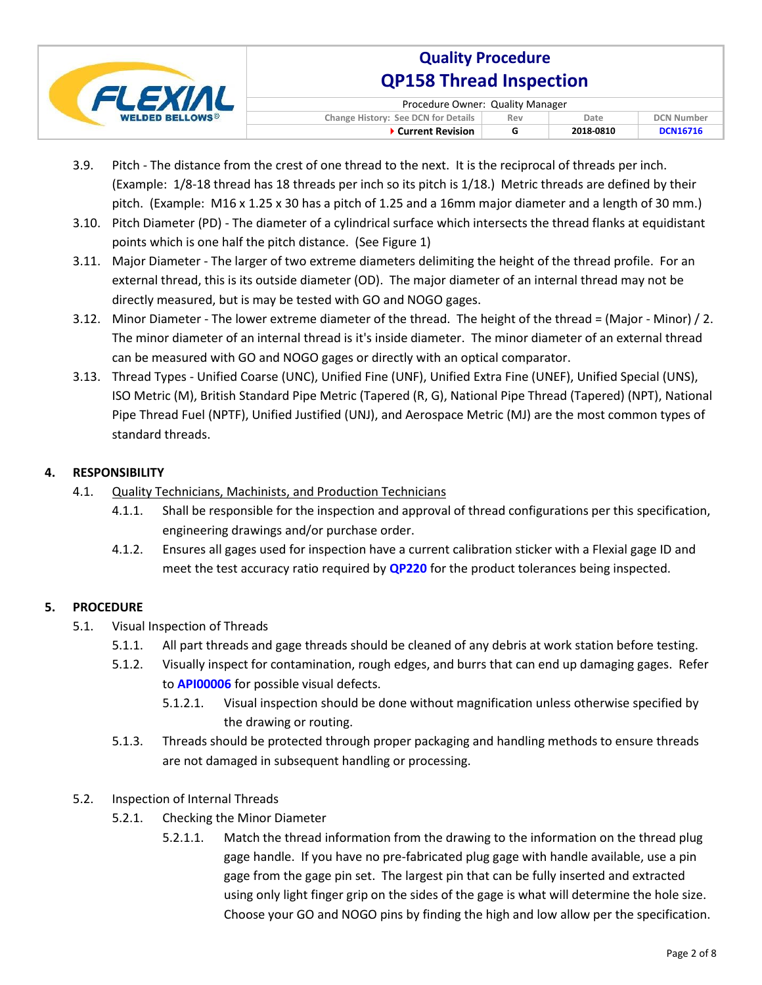

| Procedure Owner: Quality Manager           |     |           |                   |  |
|--------------------------------------------|-----|-----------|-------------------|--|
| <b>Change History: See DCN for Details</b> | Rev | Date.     | <b>DCN Number</b> |  |
| ▶ Current Revision                         |     | 2018-0810 | <b>DCN16716</b>   |  |

- 3.9. Pitch The distance from the crest of one thread to the next. It is the reciprocal of threads per inch. (Example: 1/8-18 thread has 18 threads per inch so its pitch is 1/18.) Metric threads are defined by their pitch. (Example: M16 x 1.25 x 30 has a pitch of 1.25 and a 16mm major diameter and a length of 30 mm.)
- 3.10. Pitch Diameter (PD) The diameter of a cylindrical surface which intersects the thread flanks at equidistant points which is one half the pitch distance. (See Figure 1)
- 3.11. Major Diameter The larger of two extreme diameters delimiting the height of the thread profile. For an external thread, this is its outside diameter (OD). The major diameter of an internal thread may not be directly measured, but is may be tested with GO and NOGO gages.
- 3.12. Minor Diameter The lower extreme diameter of the thread. The height of the thread = (Major Minor) / 2. The minor diameter of an internal thread is it's inside diameter. The minor diameter of an external thread can be measured with GO and NOGO gages or directly with an optical comparator.
- 3.13. Thread Types Unified Coarse (UNC), Unified Fine (UNF), Unified Extra Fine (UNEF), Unified Special (UNS), ISO Metric (M), British Standard Pipe Metric (Tapered (R, G), National Pipe Thread (Tapered) (NPT), National Pipe Thread Fuel (NPTF), Unified Justified (UNJ), and Aerospace Metric (MJ) are the most common types of standard threads.

### **4. RESPONSIBILITY**

- 4.1. Quality Technicians, Machinists, and Production Technicians
	- 4.1.1. Shall be responsible for the inspection and approval of thread configurations per this specification, engineering drawings and/or purchase order.
	- 4.1.2. Ensures all gages used for inspection have a current calibration sticker with a Flexial gage ID and meet the test accuracy ratio required by **QP220** for the product tolerances being inspected.

### **5. PROCEDURE**

- 5.1. Visual Inspection of Threads
	- 5.1.1. All part threads and gage threads should be cleaned of any debris at work station before testing.
	- 5.1.2. Visually inspect for contamination, rough edges, and burrs that can end up damaging gages. Refer to **API00006** for possible visual defects.
		- 5.1.2.1. Visual inspection should be done without magnification unless otherwise specified by the drawing or routing.
	- 5.1.3. Threads should be protected through proper packaging and handling methods to ensure threads are not damaged in subsequent handling or processing.
- 5.2. Inspection of Internal Threads
	- 5.2.1. Checking the Minor Diameter
		- 5.2.1.1. Match the thread information from the drawing to the information on the thread plug gage handle. If you have no pre-fabricated plug gage with handle available, use a pin gage from the gage pin set. The largest pin that can be fully inserted and extracted using only light finger grip on the sides of the gage is what will determine the hole size. Choose your GO and NOGO pins by finding the high and low allow per the specification.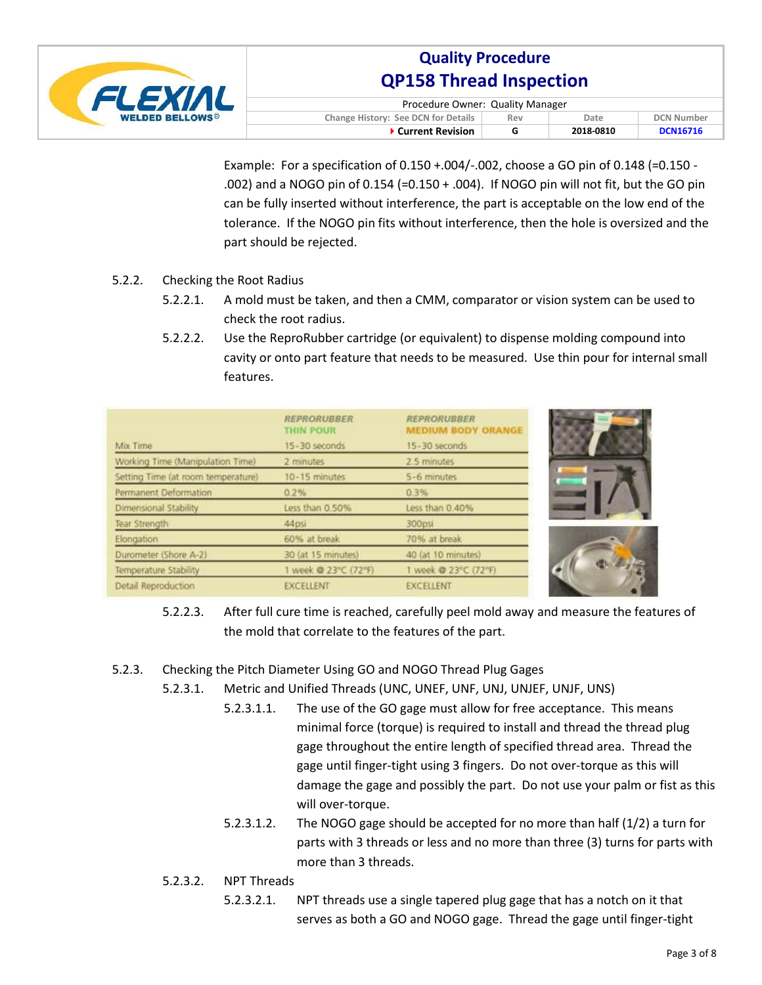

| Procedure Owner: Quality Manager           |     |           |                   |  |
|--------------------------------------------|-----|-----------|-------------------|--|
| <b>Change History: See DCN for Details</b> | Rev | Date      | <b>DCN Number</b> |  |
| ▶ Current Revision                         |     | 2018-0810 | <b>DCN16716</b>   |  |

Example: For a specification of 0.150 +.004/-.002, choose a GO pin of 0.148 (=0.150 - .002) and a NOGO pin of 0.154 (=0.150 + .004). If NOGO pin will not fit, but the GO pin can be fully inserted without interference, the part is acceptable on the low end of the tolerance. If the NOGO pin fits without interference, then the hole is oversized and the part should be rejected.

- 5.2.2. Checking the Root Radius
	- 5.2.2.1. A mold must be taken, and then a CMM, comparator or vision system can be used to check the root radius.
	- 5.2.2.2. Use the ReproRubber cartridge (or equivalent) to dispense molding compound into cavity or onto part feature that needs to be measured. Use thin pour for internal small features.

|                                    | <b>REPRORUBBER</b><br><b>THIN POUR</b> | <b>REPRORUBBER</b><br><b>MEDIUM BODY ORANGE</b> |
|------------------------------------|----------------------------------------|-------------------------------------------------|
| Mix Time                           | 15-30 seconds                          | 15-30 seconds                                   |
| Working Time (Manipulation Time)   | 2 minutes                              | 2.5 minutes                                     |
| Setting Time (at room temperature) | 10-15 minutes                          | 5-6 minutes                                     |
| Permanent Deformation              | 0.2%                                   | 0.3%                                            |
| Dimensional Stability              | Less than 0.50%                        | Less than 0.40%                                 |
| Tear Strength                      | 44psi                                  | 300psi                                          |
| Elongation                         | 60% at break                           | 70% at break                                    |
| Durometer (Shore A-2)              | 30 (at 15 minutes)                     | 40 (at 10 minutes)                              |
| Temperature Stability              | 1 week @ 23°C (72°F)                   | 1 week @ 23°C (72°F)                            |
| Detail Reproduction                | <b>EXCELLENT</b>                       | <b>EXCELLENT</b>                                |

- 5.2.2.3. After full cure time is reached, carefully peel mold away and measure the features of the mold that correlate to the features of the part.
- 5.2.3. Checking the Pitch Diameter Using GO and NOGO Thread Plug Gages
	- 5.2.3.1. Metric and Unified Threads (UNC, UNEF, UNF, UNJ, UNJEF, UNJF, UNS)
		- 5.2.3.1.1. The use of the GO gage must allow for free acceptance. This means minimal force (torque) is required to install and thread the thread plug gage throughout the entire length of specified thread area. Thread the gage until finger-tight using 3 fingers. Do not over-torque as this will damage the gage and possibly the part. Do not use your palm or fist as this will over-torque.
		- 5.2.3.1.2. The NOGO gage should be accepted for no more than half (1/2) a turn for parts with 3 threads or less and no more than three (3) turns for parts with more than 3 threads.
	- 5.2.3.2. NPT Threads
		- 5.2.3.2.1. NPT threads use a single tapered plug gage that has a notch on it that serves as both a GO and NOGO gage. Thread the gage until finger-tight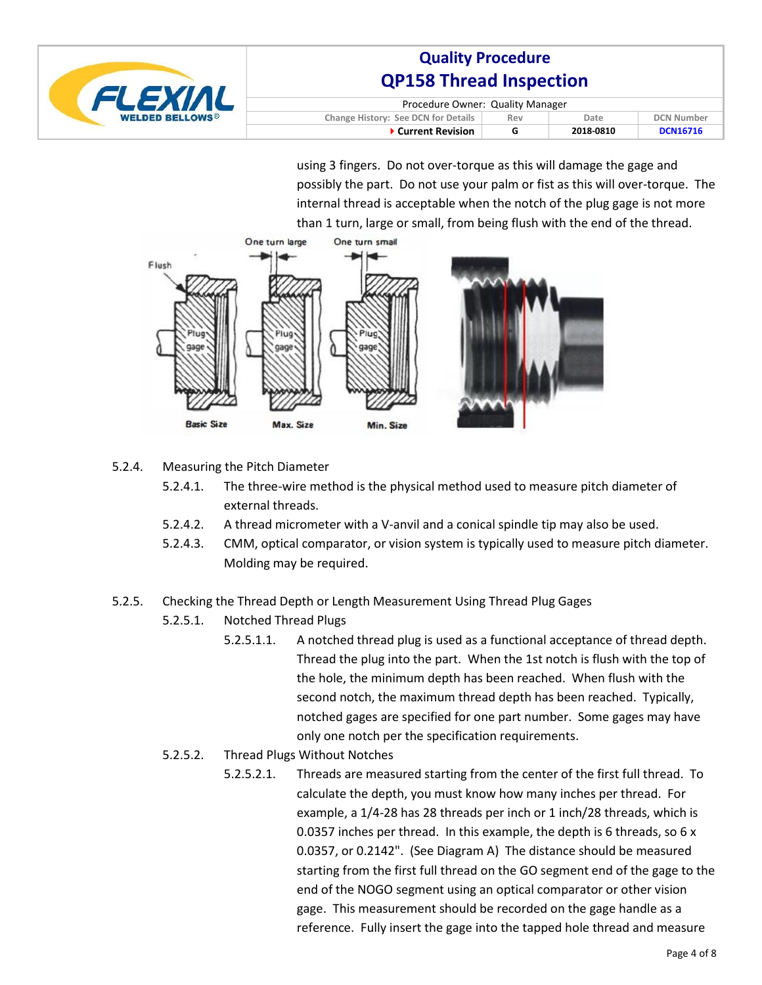

| Procedure Owner: Quality Manager    |     |           |                   |
|-------------------------------------|-----|-----------|-------------------|
| Change History: See DCN for Details | Rev | Date      | <b>DCN Number</b> |
| ▶ Current Revision                  | G   | 2018-0810 | <b>DCN16716</b>   |

using 3 fingers. Do not over-torque as this will damage the gage and possibly the part. Do not use your palm or fist as this will over-torque. The internal thread is acceptable when the notch of the plug gage is not more than 1 turn, large or small, from being flush with the end of the thread.



### 5.2.4. Measuring the Pitch Diameter

- 5.2.4.1. The three-wire method is the physical method used to measure pitch diameter of external threads.
- 5.2.4.2. A thread micrometer with a V-anvil and a conical spindle tip may also be used.
- 5.2.4.3. CMM, optical comparator, or vision system is typically used to measure pitch diameter. Molding may be required.

#### 5.2.5. Checking the Thread Depth or Length Measurement Using Thread Plug Gages

- 5.2.5.1. Notched Thread Plugs
	- 5.2.5.1.1. A notched thread plug is used as a functional acceptance of thread depth. Thread the plug into the part. When the 1st notch is flush with the top of the hole, the minimum depth has been reached. When flush with the second notch, the maximum thread depth has been reached. Typically, notched gages are specified for one part number. Some gages may have only one notch per the specification requirements.
- 5.2.5.2. Thread Plugs Without Notches
	- 5.2.5.2.1. Threads are measured starting from the center of the first full thread. To calculate the depth, you must know how many inches per thread. For example, a 1/4-28 has 28 threads per inch or 1 inch/28 threads, which is 0.0357 inches per thread. In this example, the depth is 6 threads, so 6 x 0.0357, or 0.2142". (See Diagram A) The distance should be measured starting from the first full thread on the GO segment end of the gage to the end of the NOGO segment using an optical comparator or other vision gage. This measurement should be recorded on the gage handle as a reference. Fully insert the gage into the tapped hole thread and measure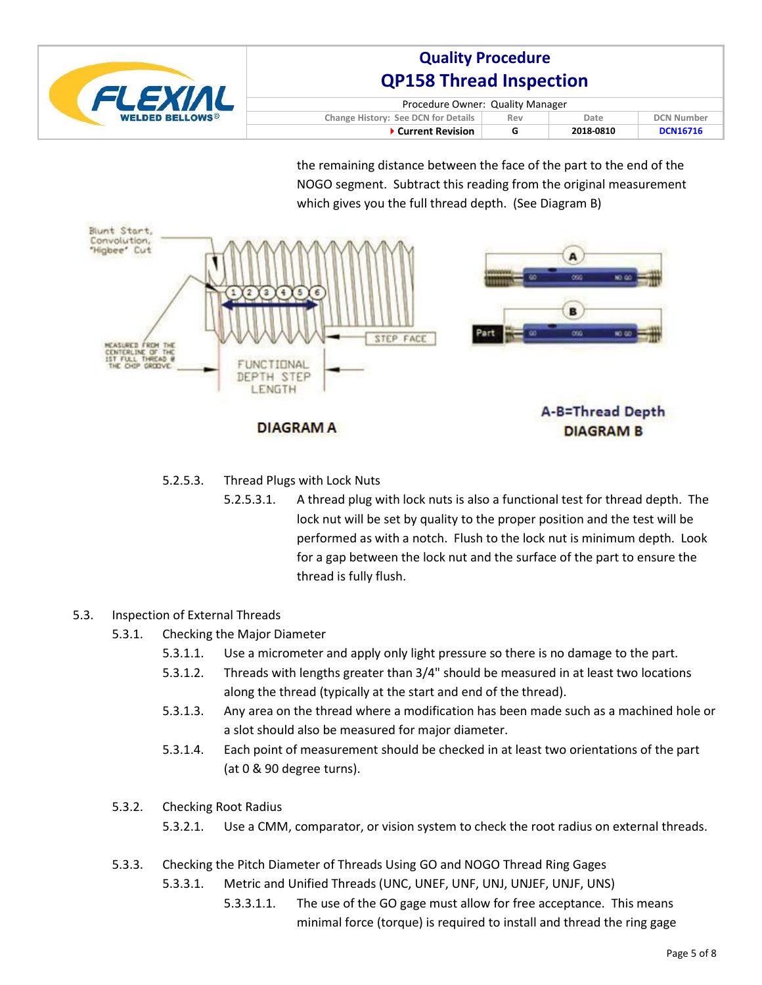

| Procedure Owner: Quality Manager    |     |           |                   |  |
|-------------------------------------|-----|-----------|-------------------|--|
| Change History: See DCN for Details | Rev | Date.     | <b>DCN Number</b> |  |
| ▶ Current Revision                  | G   | 2018-0810 | <b>DCN16716</b>   |  |

the remaining distance between the face of the part to the end of the NOGO segment. Subtract this reading from the original measurement which gives you the full thread depth. (See Diagram B)



### 5.2.5.3. Thread Plugs with Lock Nuts

5.2.5.3.1. A thread plug with lock nuts is also a functional test for thread depth. The lock nut will be set by quality to the proper position and the test will be performed as with a notch. Flush to the lock nut is minimum depth. Look for a gap between the lock nut and the surface of the part to ensure the thread is fully flush.

### 5.3. Inspection of External Threads

- 5.3.1. Checking the Major Diameter
	- 5.3.1.1. Use a micrometer and apply only light pressure so there is no damage to the part.
	- 5.3.1.2. Threads with lengths greater than 3/4" should be measured in at least two locations along the thread (typically at the start and end of the thread).
	- 5.3.1.3. Any area on the thread where a modification has been made such as a machined hole or a slot should also be measured for major diameter.
	- 5.3.1.4. Each point of measurement should be checked in at least two orientations of the part (at 0 & 90 degree turns).

#### 5.3.2. Checking Root Radius

- 5.3.2.1. Use a CMM, comparator, or vision system to check the root radius on external threads.
- 5.3.3. Checking the Pitch Diameter of Threads Using GO and NOGO Thread Ring Gages
	- 5.3.3.1. Metric and Unified Threads (UNC, UNEF, UNF, UNJ, UNJEF, UNJF, UNS)
		- 5.3.3.1.1. The use of the GO gage must allow for free acceptance. This means minimal force (torque) is required to install and thread the ring gage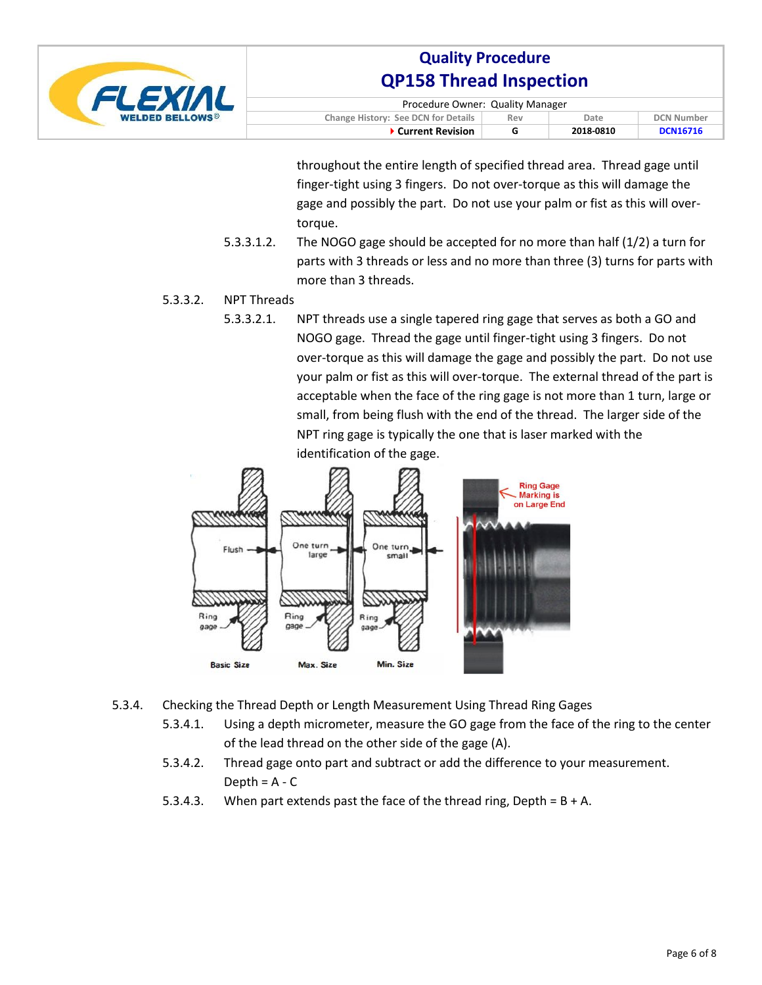

| Procedure Owner: Quality Manager                                        |   |           |                 |  |
|-------------------------------------------------------------------------|---|-----------|-----------------|--|
| Change History: See DCN for Details<br><b>DCN Number</b><br>Date<br>Rev |   |           |                 |  |
| ▶ Current Revision                                                      | G | 2018-0810 | <b>DCN16716</b> |  |

throughout the entire length of specified thread area. Thread gage until finger-tight using 3 fingers. Do not over-torque as this will damage the gage and possibly the part. Do not use your palm or fist as this will overtorque.

5.3.3.1.2. The NOGO gage should be accepted for no more than half (1/2) a turn for parts with 3 threads or less and no more than three (3) turns for parts with more than 3 threads.

### 5.3.3.2. NPT Threads

5.3.3.2.1. NPT threads use a single tapered ring gage that serves as both a GO and NOGO gage. Thread the gage until finger-tight using 3 fingers. Do not over-torque as this will damage the gage and possibly the part. Do not use your palm or fist as this will over-torque. The external thread of the part is acceptable when the face of the ring gage is not more than 1 turn, large or small, from being flush with the end of the thread. The larger side of the NPT ring gage is typically the one that is laser marked with the identification of the gage.



- 5.3.4. Checking the Thread Depth or Length Measurement Using Thread Ring Gages
	- 5.3.4.1. Using a depth micrometer, measure the GO gage from the face of the ring to the center of the lead thread on the other side of the gage (A).
	- 5.3.4.2. Thread gage onto part and subtract or add the difference to your measurement. Depth =  $A - C$
	- 5.3.4.3. When part extends past the face of the thread ring, Depth =  $B + A$ .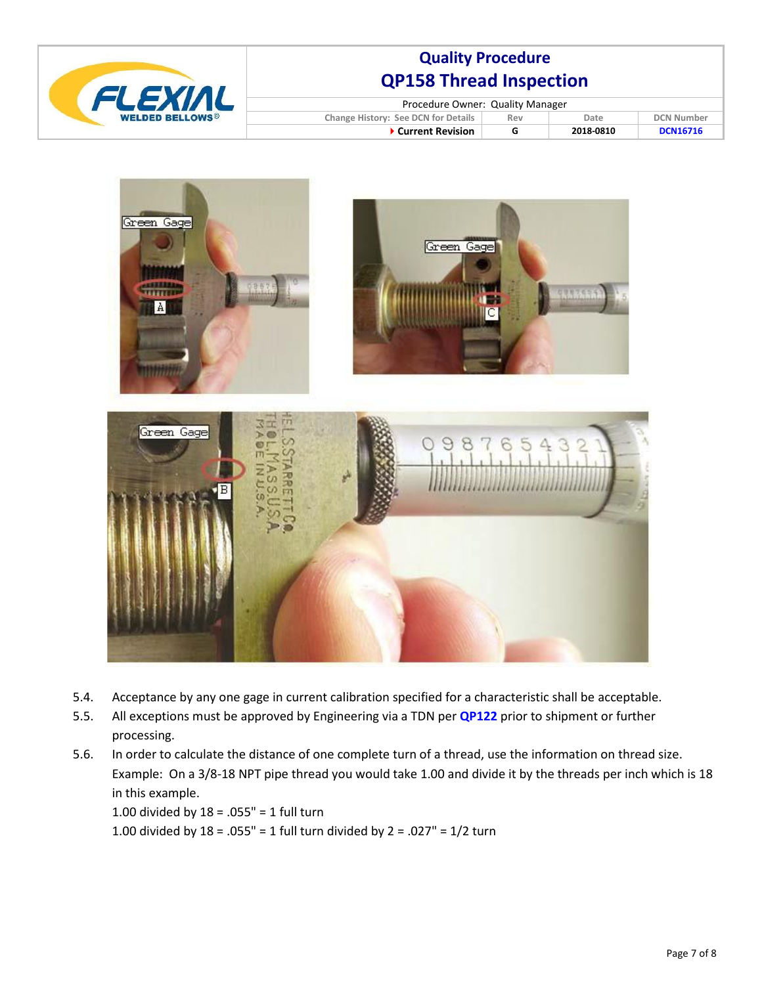

| Procedure Owner: Quality Manager    |     |           |                   |  |
|-------------------------------------|-----|-----------|-------------------|--|
| Change History: See DCN for Details | Rev | Date      | <b>DCN Number</b> |  |
| ▶ Current Revision                  | G   | 2018-0810 | <b>DCN16716</b>   |  |



- 5.4. Acceptance by any one gage in current calibration specified for a characteristic shall be acceptable.
- 5.5. All exceptions must be approved by Engineering via a TDN per **QP122** prior to shipment or further processing.
- 5.6. In order to calculate the distance of one complete turn of a thread, use the information on thread size. Example: On a 3/8-18 NPT pipe thread you would take 1.00 and divide it by the threads per inch which is 18 in this example.

1.00 divided by 18 = .055" = 1 full turn 1.00 divided by  $18 = .055" = 1$  full turn divided by  $2 = .027" = 1/2$  turn